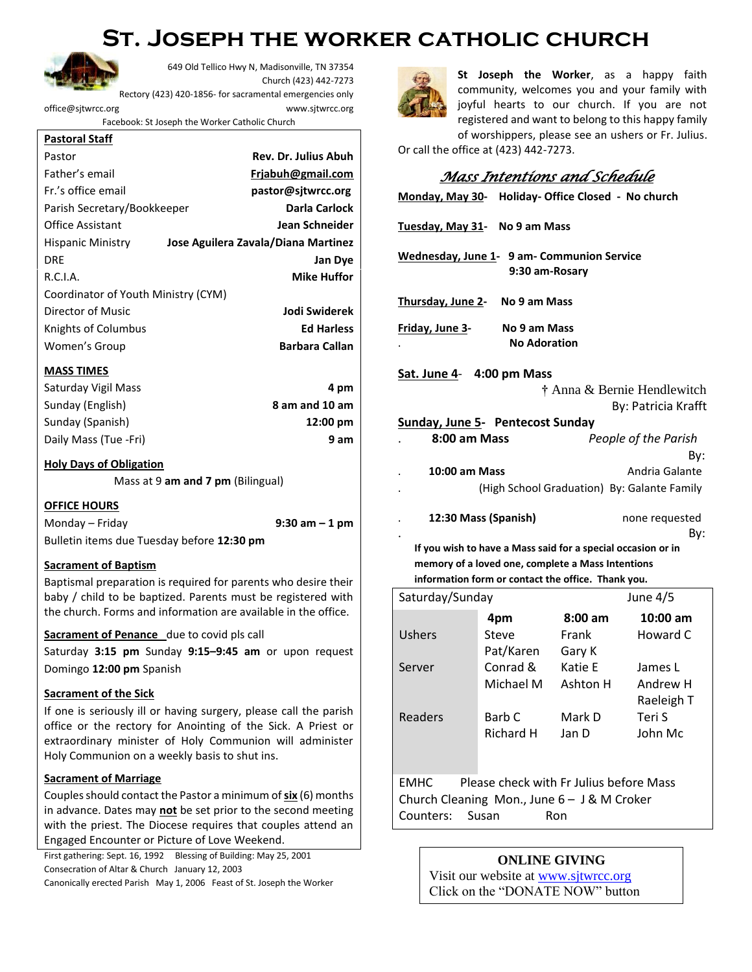## **St. Joseph the worker catholic church**



649 Old Tellico Hwy N, Madisonville, TN 37354 Church (423) 442-7273 Rectory (423) 420-1856- for sacramental emergencies only

[office@sjtwrcc.org](mailto:office@sjtwrcc.org) www.sjtwrcc.org

Facebook: St Joseph the Worker Catholic Church

#### **Pastoral Staff**

| Pastor                              | <b>Rev. Dr. Julius Abuh</b>         |  |  |  |
|-------------------------------------|-------------------------------------|--|--|--|
| Father's email                      | Friabuh@gmail.com                   |  |  |  |
| Fr.'s office email                  | pastor@sitwrcc.org                  |  |  |  |
| Parish Secretary/Bookkeeper         | <b>Darla Carlock</b>                |  |  |  |
| <b>Office Assistant</b>             | Jean Schneider                      |  |  |  |
| <b>Hispanic Ministry</b>            | Jose Aguilera Zavala/Diana Martinez |  |  |  |
| <b>DRE</b>                          | Jan Dye                             |  |  |  |
| R.C.I.A.                            | <b>Mike Huffor</b>                  |  |  |  |
| Coordinator of Youth Ministry (CYM) |                                     |  |  |  |
| Director of Music                   | Jodi Swiderek                       |  |  |  |
| Knights of Columbus                 | <b>Ed Harless</b>                   |  |  |  |
| Women's Group                       | <b>Barbara Callan</b>               |  |  |  |

## **MASS TIMES**

| Saturday Vigil Mass   | 4 pm               |
|-----------------------|--------------------|
| Sunday (English)      | 8 am and 10 am     |
| Sunday (Spanish)      | $12:00 \text{ pm}$ |
| Daily Mass (Tue -Fri) | 9 am               |

## **Holy Days of Obligation**

Mass at 9 **am and 7 pm** (Bilingual)

**OFFICE HOURS** Monday – Friday **9:30 am – 1 pm** Bulletin items due Tuesday before **12:30 pm**

## **Sacrament of Baptism**

Baptismal preparation is required for parents who desire their baby / child to be baptized. Parents must be registered with the church. Forms and information are available in the office.

## **Sacrament of Penance** due to covid pls call

Saturday **3:15 pm** Sunday **9:15–9:45 am** or upon request Domingo **12:00 pm** Spanish

## **Sacrament of the Sick**

If one is seriously ill or having surgery, please call the parish office or the rectory for Anointing of the Sick. A Priest or extraordinary minister of Holy Communion will administer Holy Communion on a weekly basis to shut ins.

## **Sacrament of Marriage**

Couples should contact the Pastor a minimum of **six** (6) months in advance. Dates may **not** be set prior to the second meeting with the priest. The Diocese requires that couples attend an Engaged Encounter or Picture of Love Weekend.

First gathering: Sept. 16, 1992 Blessing of Building: May 25, 2001 Consecration of Altar & Church January 12, 2003 Canonically erected Parish May 1, 2006 Feast of St. Joseph the Worker

**St Joseph the Worker**, as a happy faith community, welcomes you and your family with joyful hearts to our church. If you are not registered and want to belong to this happy family of worshippers, please see an ushers or Fr. Julius.

Or call the office at (423) 442-7273.

## *Mass Intentions and Schedule*

| Monday, May 30- Holiday- Office Closed - No church           |                                                    |         |                       |  |  |  |  |
|--------------------------------------------------------------|----------------------------------------------------|---------|-----------------------|--|--|--|--|
| Tuesday, May 31- No 9 am Mass                                |                                                    |         |                       |  |  |  |  |
| Wednesday, June 1- 9 am- Communion Service<br>9:30 am-Rosary |                                                    |         |                       |  |  |  |  |
| Thursday, June 2- No 9 am Mass                               |                                                    |         |                       |  |  |  |  |
| Friday, June 3-<br>No 9 am Mass<br><b>No Adoration</b>       |                                                    |         |                       |  |  |  |  |
| Sat. June 4- 4:00 pm Mass                                    |                                                    |         |                       |  |  |  |  |
| † Anna & Bernie Hendlewitch                                  |                                                    |         |                       |  |  |  |  |
|                                                              |                                                    |         | By: Patricia Krafft   |  |  |  |  |
| <b>Sunday, June 5- Pentecost Sunday</b>                      |                                                    |         |                       |  |  |  |  |
| 8:00 am Mass<br>People of the Parish                         |                                                    |         |                       |  |  |  |  |
|                                                              |                                                    |         | Bv:                   |  |  |  |  |
| <b>10:00 am Mass</b>                                         |                                                    |         | Andria Galante        |  |  |  |  |
| (High School Graduation) By: Galante Family                  |                                                    |         |                       |  |  |  |  |
|                                                              | 12:30 Mass (Spanish)                               |         | none requested<br>Bv: |  |  |  |  |
| If you wish to have a Mass said for a special occasion or in |                                                    |         |                       |  |  |  |  |
| memory of a loved one, complete a Mass Intentions            |                                                    |         |                       |  |  |  |  |
|                                                              | information form or contact the office. Thank you. |         |                       |  |  |  |  |
| June 4/5<br>Saturday/Sunday                                  |                                                    |         |                       |  |  |  |  |
|                                                              | 4pm                                                | 8:00 am | $10:00$ am            |  |  |  |  |
| Ushers                                                       | Steve                                              | Frank   | Howard C              |  |  |  |  |
|                                                              | Pat/Karen Gary K                                   |         |                       |  |  |  |  |
|                                                              |                                                    |         |                       |  |  |  |  |

Server Conrad & Michael M Katie E Ashton H James L Andrew H Raeleigh T Readers Barb C Richard H Mark D Jan D Teri S John Mc EMHC Please check with Fr Julius before Mass

Church Cleaning Mon., June 6 – J & M Croker Counters: Susan Ron

## **ONLINE GIVING**

Visit our website at [www.sjtwrcc.org](http://www.sjtwrcc.org/) Click on the "DONATE NOW" button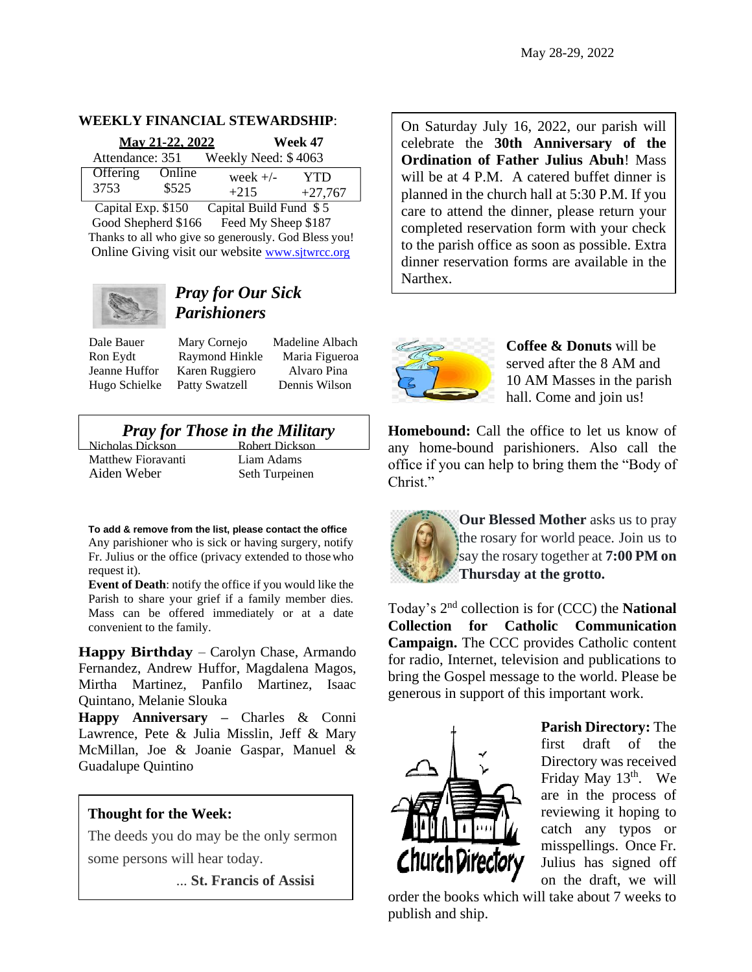## **WEEKLY FINANCIAL STEWARDSHIP**:

| May 21-22, 2022 |        |                     | Week 47   |  |
|-----------------|--------|---------------------|-----------|--|
| Attendance: 351 |        | Weekly Need: \$4063 |           |  |
| Offering        | Online | week $+/-$          | YTD       |  |
| 3753            | \$525  | $+215$              | $+27,767$ |  |

Capital Exp. \$150 Capital Build Fund \$ 5 Good Shepherd \$166 Feed My Sheep \$187 Thanks to all who give so generously. God Bless you! Online Giving visit our website [www.sjtwrcc.org](http://www.sjtwrcc.org/)



## *Pray for Our Sick Parishioners*

Dale Bauer Mary Cornejo Madeline Albach Ron Eydt Raymond Hinkle Maria Figueroa Jeanne Huffor Karen Ruggiero Alvaro Pina Hugo Schielke Patty Swatzell Dennis Wilson

# *Pray for Those in the Military* las Dickson<br>Robert Dickson

Nicholas Dickson Matthew Fioravanti Liam Adams Aiden Weber Seth Turpeinen

**To add & remove from the list, please contact the office** Any parishioner who is sick or having surgery, notify Fr. Julius or the office (privacy extended to thosewho request it).

**Event of Death**: notify the office if you would like the Parish to share your grief if a family member dies. Mass can be offered immediately or at a date convenient to the family.

**Happy Birthday** – Carolyn Chase, Armando Fernandez, Andrew Huffor, Magdalena Magos, Mirtha Martinez, Panfilo Martinez, Isaac Quintano, Melanie Slouka

**Happy Anniversary –** Charles & Conni Lawrence, Pete & Julia Misslin, Jeff & Mary McMillan, Joe & Joanie Gaspar, Manuel & Guadalupe Quintino

## **Thought for the Week:**

[The deeds you do may be the only sermon](https://www.azquotes.com/quote/555952)  [some persons will hear today.](https://www.azquotes.com/quote/555952)

... **St. Francis of Assisi**

On Saturday July 16, 2022, our parish will celebrate the **30th Anniversary of the Ordination of Father Julius Abuh**! Mass will be at 4 P.M. A catered buffet dinner is planned in the church hall at 5:30 P.M. If you care to attend the dinner, please return your completed reservation form with your check to the parish office as soon as possible. Extra dinner reservation forms are available in the Narthex.



**Coffee & Donuts** will be served after the 8 AM and 10 AM Masses in the parish hall. Come and join us!

**Homebound:** Call the office to let us know of any home-bound parishioners. Also call the office if you can help to bring them the "Body of Christ."



**Our Blessed Mother** asks us to pray the rosary for world peace. Join us to say the rosary together at **7:00 PM on Thursday at the grotto.** 

Today's 2 nd collection is for (CCC) the **National Collection for Catholic Communication Campaign.** The CCC provides Catholic content for radio, Internet, television and publications to bring the Gospel message to the world. Please be generous in support of this important work.



**Parish Directory:** The first draft of the Directory was received Friday May  $13<sup>th</sup>$ . We are in the process of reviewing it hoping to catch any typos or misspellings. Once Fr. Julius has signed off on the draft, we will

order the books which will take about 7 weeks to publish and ship.